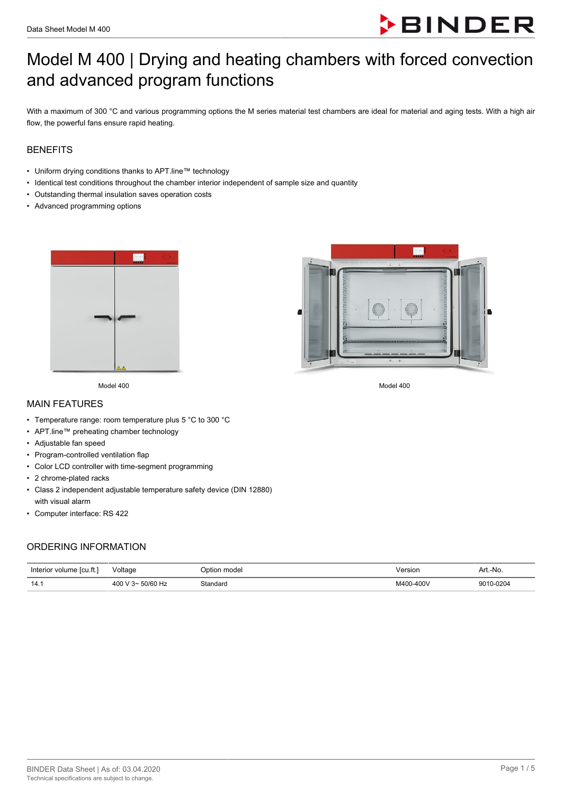

# Model M 400 | Drying and heating chambers with forced convection and advanced program functions

With a maximum of 300 °C and various programming options the M series material test chambers are ideal for material and aging tests. With a high air flow, the powerful fans ensure rapid heating.

### **BENEFITS**

- Uniform drying conditions thanks to APT.line™ technology
- Identical test conditions throughout the chamber interior independent of sample size and quantity
- Outstanding thermal insulation saves operation costs
- Advanced programming options





Model 400 Model 400

#### MAIN FEATURES

- Temperature range: room temperature plus 5 °C to 300 °C
- APT.line™ preheating chamber technology
- Adjustable fan speed
- Program-controlled ventilation flap
- Color LCD controller with time-segment programming
- 2 chrome-plated racks
- Class 2 independent adjustable temperature safety device (DIN 12880) with visual alarm
- Computer interface: RS 422

### ORDERING INFORMATION

| Interior volume [cu.ft.] | Voltage                   | Dotion model | /ersior<br>. | Art.-No.  |
|--------------------------|---------------------------|--------------|--------------|-----------|
| 14.1                     | $-50/60$ Hz<br>400 V $3-$ | Standard     | M400-400V    | 9010-0204 |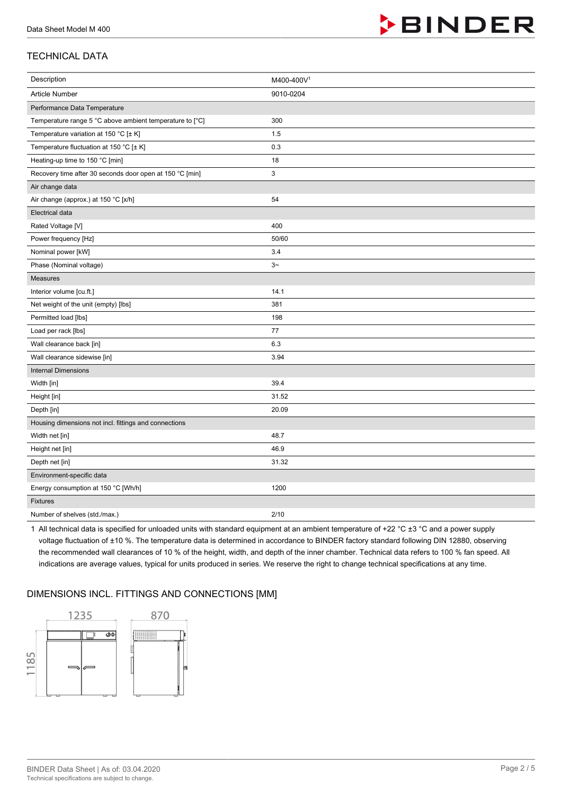

## TECHNICAL DATA

| Description                                              | M400-400V <sup>1</sup> |
|----------------------------------------------------------|------------------------|
| Article Number                                           | 9010-0204              |
| Performance Data Temperature                             |                        |
| Temperature range 5 °C above ambient temperature to [°C] | 300                    |
| Temperature variation at 150 °C [± K]                    | 1.5                    |
| Temperature fluctuation at 150 °C [± K]                  | 0.3                    |
| Heating-up time to 150 °C [min]                          | 18                     |
| Recovery time after 30 seconds door open at 150 °C [min] | 3                      |
| Air change data                                          |                        |
| Air change (approx.) at 150 °C [x/h]                     | 54                     |
| <b>Electrical data</b>                                   |                        |
| Rated Voltage [V]                                        | 400                    |
| Power frequency [Hz]                                     | 50/60                  |
| Nominal power [kW]                                       | 3.4                    |
| Phase (Nominal voltage)                                  | $3-$                   |
| Measures                                                 |                        |
| Interior volume [cu.ft.]                                 | 14.1                   |
| Net weight of the unit (empty) [lbs]                     | 381                    |
| Permitted load [lbs]                                     | 198                    |
| Load per rack [lbs]                                      | 77                     |
| Wall clearance back [in]                                 | 6.3                    |
| Wall clearance sidewise [in]                             | 3.94                   |
| <b>Internal Dimensions</b>                               |                        |
| Width [in]                                               | 39.4                   |
| Height [in]                                              | 31.52                  |
| Depth [in]                                               | 20.09                  |
| Housing dimensions not incl. fittings and connections    |                        |
| Width net [in]                                           | 48.7                   |
| Height net [in]                                          | 46.9                   |
| Depth net [in]                                           | 31.32                  |
| Environment-specific data                                |                        |
| Energy consumption at 150 °C [Wh/h]                      | 1200                   |
| <b>Fixtures</b>                                          |                        |
| Number of shelves (std./max.)                            | 2/10                   |

1 All technical data is specified for unloaded units with standard equipment at an ambient temperature of +22 °C ±3 °C and a power supply voltage fluctuation of ±10 %. The temperature data is determined in accordance to BINDER factory standard following DIN 12880, observing the recommended wall clearances of 10 % of the height, width, and depth of the inner chamber. Technical data refers to 100 % fan speed. All indications are average values, typical for units produced in series. We reserve the right to change technical specifications at any time.

## DIMENSIONS INCL. FITTINGS AND CONNECTIONS [MM]

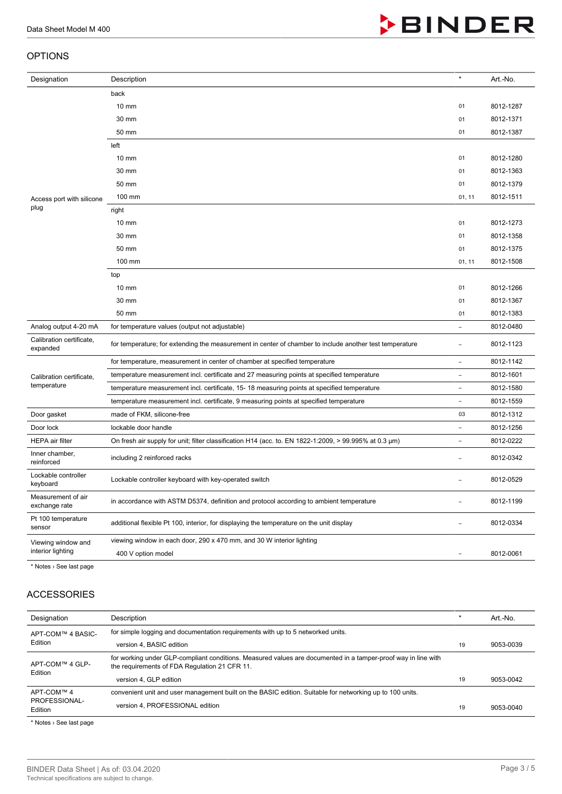#### OPTIONS

| Designation                             | Description                                                                                             | $\star$                  | Art.-No.  |
|-----------------------------------------|---------------------------------------------------------------------------------------------------------|--------------------------|-----------|
|                                         | back                                                                                                    |                          |           |
|                                         | $10 \text{ mm}$                                                                                         | 01                       | 8012-1287 |
|                                         | 30 mm                                                                                                   | 01                       | 8012-1371 |
|                                         | 50 mm                                                                                                   | 01                       | 8012-1387 |
|                                         | left                                                                                                    |                          |           |
|                                         | $10 \text{ mm}$                                                                                         | 01                       | 8012-1280 |
|                                         | 30 mm                                                                                                   | 01                       | 8012-1363 |
|                                         | 50 mm                                                                                                   | 01                       | 8012-1379 |
| Access port with silicone               | 100 mm                                                                                                  | 01, 11                   | 8012-1511 |
| plug                                    | right                                                                                                   |                          |           |
|                                         | $10 \text{ mm}$                                                                                         | 01                       | 8012-1273 |
|                                         | 30 mm                                                                                                   | 01                       | 8012-1358 |
|                                         | 50 mm                                                                                                   | 01                       | 8012-1375 |
|                                         | 100 mm                                                                                                  | 01, 11                   | 8012-1508 |
|                                         | top                                                                                                     |                          |           |
|                                         | $10 \text{ mm}$                                                                                         | 01                       | 8012-1266 |
|                                         | 30 mm                                                                                                   | 01                       | 8012-1367 |
|                                         | 50 mm                                                                                                   | 01                       | 8012-1383 |
| Analog output 4-20 mA                   | for temperature values (output not adjustable)                                                          | $\overline{\phantom{0}}$ | 8012-0480 |
| Calibration certificate,<br>expanded    | for temperature; for extending the measurement in center of chamber to include another test temperature | ÷,                       | 8012-1123 |
|                                         | for temperature, measurement in center of chamber at specified temperature                              | ÷,                       | 8012-1142 |
| Calibration certificate,                | temperature measurement incl. certificate and 27 measuring points at specified temperature              | ÷,                       | 8012-1601 |
| temperature                             | temperature measurement incl. certificate, 15-18 measuring points at specified temperature              | ÷,                       | 8012-1580 |
|                                         | temperature measurement incl. certificate, 9 measuring points at specified temperature                  | ÷.                       | 8012-1559 |
| Door gasket                             | made of FKM, silicone-free                                                                              | 03                       | 8012-1312 |
| Door lock                               | lockable door handle                                                                                    | $\overline{\phantom{0}}$ | 8012-1256 |
| <b>HEPA</b> air filter                  | On fresh air supply for unit; filter classification H14 (acc. to. EN 1822-1:2009, > 99.995% at 0.3 µm)  | $\overline{\phantom{0}}$ | 8012-0222 |
| Inner chamber,<br>reinforced            | including 2 reinforced racks                                                                            | ۰                        | 8012-0342 |
| Lockable controller<br>keyboard         | Lockable controller keyboard with key-operated switch                                                   |                          | 8012-0529 |
| Measurement of air<br>exchange rate     | in accordance with ASTM D5374, definition and protocol according to ambient temperature                 |                          | 8012-1199 |
| Pt 100 temperature<br>sensor            | additional flexible Pt 100, interior, for displaying the temperature on the unit display                |                          | 8012-0334 |
| Viewing window and<br>interior lighting | viewing window in each door, 290 x 470 mm, and 30 W interior lighting                                   |                          |           |
|                                         | 400 V option model                                                                                      |                          | 8012-0061 |

\* Notes › See last page

## ACCESSORIES

| Designation                            | Description                                                                                                                                                    | $\star$ | Art.-No.  |
|----------------------------------------|----------------------------------------------------------------------------------------------------------------------------------------------------------------|---------|-----------|
| APT-COM™ 4 BASIC-<br>Edition           | for simple logging and documentation requirements with up to 5 networked units.                                                                                |         |           |
|                                        | version 4, BASIC edition                                                                                                                                       | 19      | 9053-0039 |
| APT-COM™ 4 GLP-<br>Edition             | for working under GLP-compliant conditions. Measured values are documented in a tamper-proof way in line with<br>the requirements of FDA Regulation 21 CFR 11. |         |           |
|                                        | version 4, GLP edition                                                                                                                                         | 19      | 9053-0042 |
| APT-COM™ 4<br>PROFESSIONAL-<br>Edition | convenient unit and user management built on the BASIC edition. Suitable for networking up to 100 units.                                                       |         |           |
|                                        | version 4, PROFESSIONAL edition                                                                                                                                | 19      | 9053-0040 |

\* Notes › See last page



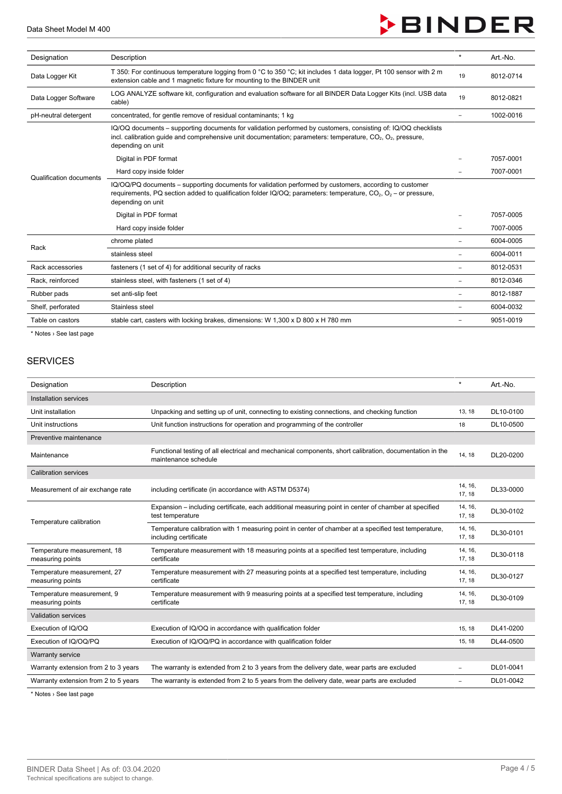

| Designation             | Description                                                                                                                                                                                                                                                           | $\star$ | Art.-No.  |
|-------------------------|-----------------------------------------------------------------------------------------------------------------------------------------------------------------------------------------------------------------------------------------------------------------------|---------|-----------|
| Data Logger Kit         | T 350: For continuous temperature logging from 0 °C to 350 °C; kit includes 1 data logger, Pt 100 sensor with 2 m<br>extension cable and 1 magnetic fixture for mounting to the BINDER unit                                                                           |         | 8012-0714 |
| Data Logger Software    | LOG ANALYZE software kit, configuration and evaluation software for all BINDER Data Logger Kits (incl. USB data<br>cable)                                                                                                                                             |         | 8012-0821 |
| pH-neutral detergent    | concentrated, for gentle remove of residual contaminants; 1 kg                                                                                                                                                                                                        |         | 1002-0016 |
| Qualification documents | IQ/OQ documents – supporting documents for validation performed by customers, consisting of: IQ/OQ checklists<br>incl. calibration quide and comprehensive unit documentation; parameters: temperature, $CO2$ , $O2$ , pressure,<br>depending on unit                 |         |           |
|                         | Digital in PDF format                                                                                                                                                                                                                                                 |         | 7057-0001 |
|                         | Hard copy inside folder                                                                                                                                                                                                                                               |         | 7007-0001 |
|                         | IQ/OQ/PQ documents – supporting documents for validation performed by customers, according to customer<br>requirements, PQ section added to qualification folder IQ/OQ; parameters: temperature, CO <sub>2</sub> , O <sub>2</sub> – or pressure,<br>depending on unit |         |           |
|                         | Digital in PDF format                                                                                                                                                                                                                                                 |         | 7057-0005 |
|                         | Hard copy inside folder                                                                                                                                                                                                                                               |         | 7007-0005 |
| Rack                    | chrome plated                                                                                                                                                                                                                                                         |         | 6004-0005 |
|                         | stainless steel                                                                                                                                                                                                                                                       |         | 6004-0011 |
| Rack accessories        | fasteners (1 set of 4) for additional security of racks                                                                                                                                                                                                               |         | 8012-0531 |
| Rack, reinforced        | stainless steel, with fasteners (1 set of 4)                                                                                                                                                                                                                          | ۰       | 8012-0346 |
| Rubber pads             | set anti-slip feet                                                                                                                                                                                                                                                    |         | 8012-1887 |
| Shelf, perforated       | Stainless steel                                                                                                                                                                                                                                                       |         | 6004-0032 |
| Table on castors        | stable cart, casters with locking brakes, dimensions: W 1,300 x D 800 x H 780 mm                                                                                                                                                                                      |         | 9051-0019 |

\* Notes › See last page

### SERVICES

| Designation                                     | Description                                                                                                                     | $\star$           | Art.-No.  |
|-------------------------------------------------|---------------------------------------------------------------------------------------------------------------------------------|-------------------|-----------|
| Installation services                           |                                                                                                                                 |                   |           |
| Unit installation                               | Unpacking and setting up of unit, connecting to existing connections, and checking function                                     | 13, 18            | DL10-0100 |
| Unit instructions                               | Unit function instructions for operation and programming of the controller                                                      | 18                | DL10-0500 |
| Preventive maintenance                          |                                                                                                                                 |                   |           |
| Maintenance                                     | Functional testing of all electrical and mechanical components, short calibration, documentation in the<br>maintenance schedule | 14, 18            | DL20-0200 |
| <b>Calibration services</b>                     |                                                                                                                                 |                   |           |
| Measurement of air exchange rate                | including certificate (in accordance with ASTM D5374)                                                                           | 14, 16,<br>17, 18 | DL33-0000 |
|                                                 | Expansion – including certificate, each additional measuring point in center of chamber at specified<br>test temperature        | 14, 16,<br>17, 18 | DL30-0102 |
| Temperature calibration                         | Temperature calibration with 1 measuring point in center of chamber at a specified test temperature,<br>including certificate   | 14, 16,<br>17, 18 | DL30-0101 |
| Temperature measurement, 18<br>measuring points | Temperature measurement with 18 measuring points at a specified test temperature, including<br>certificate                      | 14, 16,<br>17, 18 | DL30-0118 |
| Temperature measurement, 27<br>measuring points | Temperature measurement with 27 measuring points at a specified test temperature, including<br>certificate                      | 14, 16,<br>17, 18 | DL30-0127 |
| Temperature measurement, 9<br>measuring points  | Temperature measurement with 9 measuring points at a specified test temperature, including<br>certificate                       | 14, 16,<br>17, 18 | DL30-0109 |
| <b>Validation services</b>                      |                                                                                                                                 |                   |           |
| Execution of IQ/OQ                              | Execution of IQ/OQ in accordance with qualification folder                                                                      | 15, 18            | DL41-0200 |
| Execution of IQ/OQ/PQ                           | Execution of IQ/OQ/PQ in accordance with qualification folder                                                                   | 15, 18            | DL44-0500 |
| <b>Warranty service</b>                         |                                                                                                                                 |                   |           |
| Warranty extension from 2 to 3 years            | The warranty is extended from 2 to 3 years from the delivery date, wear parts are excluded                                      | ۰                 | DL01-0041 |
| Warranty extension from 2 to 5 years            | The warranty is extended from 2 to 5 years from the delivery date, wear parts are excluded                                      |                   | DL01-0042 |

\* Notes › See last page